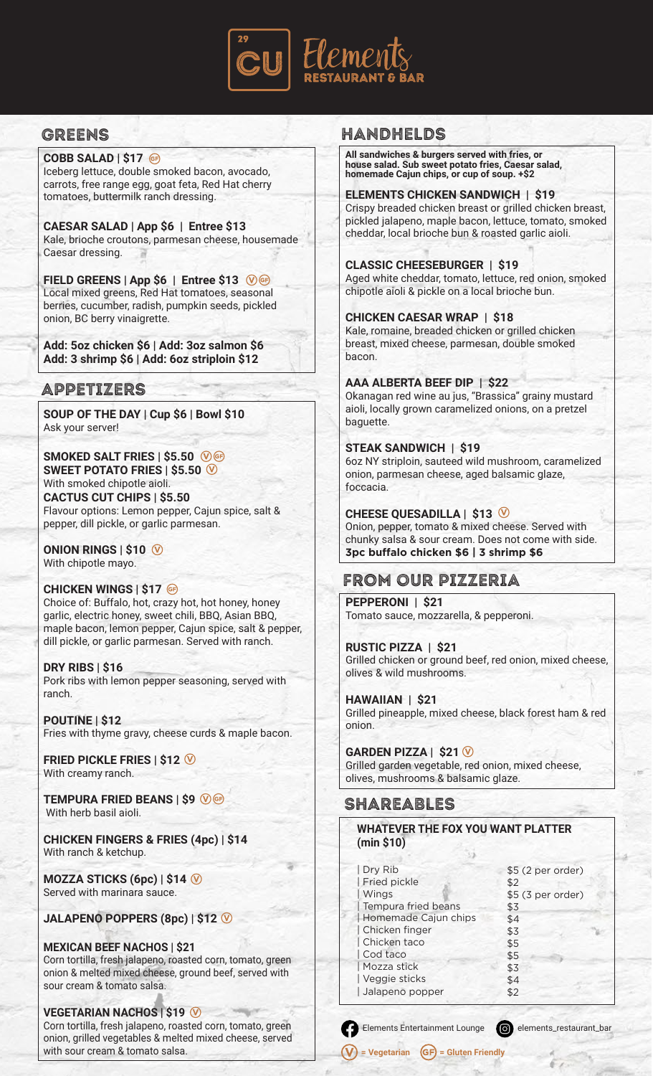

# greens

**COBB SALAD | \$17** Iceberg lettuce, double smoked bacon, avocado, carrots, free range egg, goat feta, Red Hat cherry tomatoes, buttermilk ranch dressing.

**CAESAR SALAD | App \$6 | Entree \$13** Kale, brioche croutons, parmesan cheese, housemade Caesar dressing.

FIELD GREENS | App \$6 | Entree \$13 0 <del>®</del> Local mixed greens, Red Hat tomatoes, seasonal berries, cucumber, radish, pumpkin seeds, pickled onion, BC berry vinaigrette.

**Add: 5oz chicken \$6 | Add: 3oz salmon \$6 Add: 3 shrimp \$6 | Add: 6oz striploin \$12**

### Appetizers

**SOUP OF THE DAY | Cup \$6 | Bowl \$10** Ask your server!

**SMOKED SALT FRIES | \$5.50**  $\circledR$ **SWEET POTATO FRIES | \$5.50** With smoked chipotle aioli. **CACTUS CUT CHIPS | \$5.50** Flavour options: Lemon pepper, Cajun spice, salt & pepper, dill pickle, or garlic parmesan.

#### **ONION RINGS | \$10** With chipotle mayo.

#### **CHICKEN WINGS | \$17**

Choice of: Buffalo, hot, crazy hot, hot honey, honey garlic, electric honey, sweet chili, BBQ, Asian BBQ, maple bacon, lemon pepper, Cajun spice, salt & pepper, dill pickle, or garlic parmesan. Served with ranch.

**DRY RIBS | \$16** Pork ribs with lemon pepper seasoning, served with ranch.

**POUTINE | \$12** Fries with thyme gravy, cheese curds & maple bacon.

**FRIED PICKLE FRIES | \$12** With creamy ranch.

**TEMPURA FRIED BEANS | \$9** With herb basil aioli.

**CHICKEN FINGERS & FRIES (4pc) | \$14** With ranch & ketchup.

**MOZZA STICKS (6pc) | \$14** Served with marinara sauce.

#### **JALAPENO POPPERS (8pc) | \$12**

**MEXICAN BEEF NACHOS | \$21** Corn tortilla, fresh jalapeno, roasted corn, tomato, green onion & melted mixed cheese, ground beef, served with sour cream & tomato salsa.

#### **VEGETARIAN NACHOS | \$19** Corn tortilla, fresh jalapeno, roasted corn, tomato, green onion, grilled vegetables & melted mixed cheese, served with sour cream & tomato salsa.

# Handhelds

**All sandwiches & burgers served with fries, or house salad. Sub sweet potato fries, Caesar salad, homemade Cajun chips, or cup of soup. +\$2**

#### **ELEMENTS CHICKEN SANDWICH | \$19**

Crispy breaded chicken breast or grilled chicken breast, pickled jalapeno, maple bacon, lettuce, tomato, smoked cheddar, local brioche bun & roasted garlic aioli.

### **CLASSIC CHEESEBURGER | \$19**

Aged white cheddar, tomato, lettuce, red onion, smoked chipotle aioli & pickle on a local brioche bun.

#### **CHICKEN CAESAR WRAP | \$18**

Kale, romaine, breaded chicken or grilled chicken breast, mixed cheese, parmesan, double smoked bacon.

### **AAA ALBERTA BEEF DIP | \$22**

Okanagan red wine au jus, "Brassica" grainy mustard aioli, locally grown caramelized onions, on a pretzel baguette.

### **STEAK SANDWICH | \$19**

6oz NY striploin, sauteed wild mushroom, caramelized onion, parmesan cheese, aged balsamic glaze, foccacia.

### **CHEESE QUESADILLA | \$13**

Onion, pepper, tomato & mixed cheese. Served with chunky salsa & sour cream. Does not come with side. **3pc buffalo chicken \$6 | 3 shrimp \$6**

### FROM our pizzeria

**PEPPERONI | \$21** Tomato sauce, mozzarella, & pepperoni.

**RUSTIC PIZZA | \$21** Grilled chicken or ground beef, red onion, mixed cheese, olives & wild mushrooms.

#### **HAWAIIAN | \$21**

Grilled pineapple, mixed cheese, black forest ham & red onion.

#### **GARDEN PIZZA | \$21**

Grilled garden vegetable, red onion, mixed cheese, olives, mushrooms & balsamic glaze.

### SHAREABLES

### **WHATEVER THE FOX YOU WANT PLATTER (min \$10)**

| Dry Rib             |                      | \$5 (2 per order) |                   |  |
|---------------------|----------------------|-------------------|-------------------|--|
| <b>Fried pickle</b> |                      | \$2               |                   |  |
| <b>Wings</b>        |                      |                   | \$5 (3 per order) |  |
| Tempura fried beans |                      | \$3               |                   |  |
|                     | Homemade Cajun chips | \$4               |                   |  |
| Chicken finger      |                      | \$3               |                   |  |
| Chicken taco        |                      | \$5               |                   |  |
| Cod taco            |                      | \$5               |                   |  |
| Mozza stick         |                      | \$3               |                   |  |
| Veggie sticks       |                      | \$4               |                   |  |
| Jalapeno popper     |                      | \$2               |                   |  |
|                     |                      |                   |                   |  |

Elements Entertainment Lounge **containment** elements\_restaurant\_bar

**(V)** = Vegetarian **(**GF) = Gluten Friendly